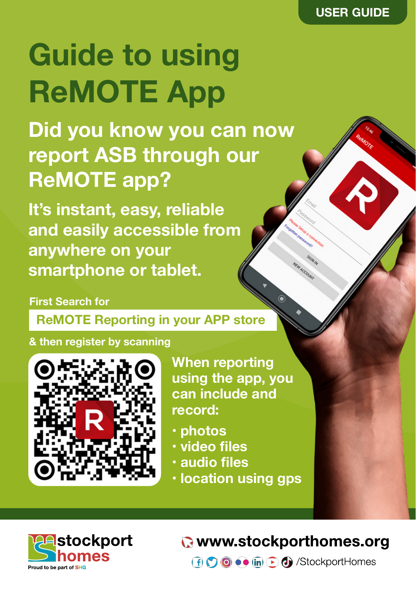# **Guide to using ReMOTE App**

**Did you know you can now report ASB through our ReMOTE app?**

**It's instant, easy, reliable and easily accessible from anywhere on your smartphone or tablet.**

#### **First Search for**

 **ReMOTE Reporting in your APP store**

**& then register by scanning**



**When reporting using the app, you can include and record:**

- **• photos**
- **• video files**
- **• audio files**
- **• location using gps**



#### **R** www.stockporthomes.org

**f**  $\bigcirc$  **o**  $\bullet$  **in**  $\bigcirc$  **d** /StockportHomes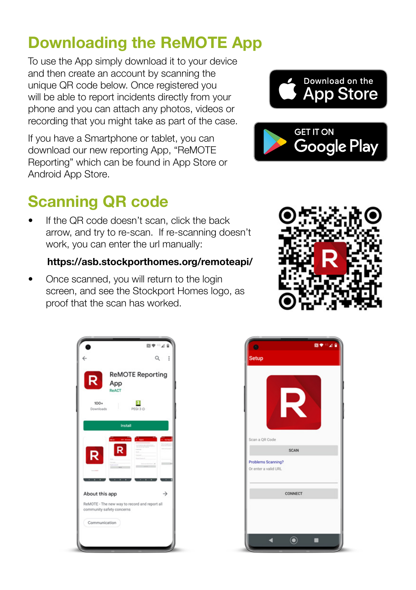## **Downloading the ReMOTE App**

To use the App simply download it to your device and then create an account by scanning the unique QR code below. Once registered you will be able to report incidents directly from your phone and you can attach any photos, videos or recording that you might take as part of the case.

If you have a Smartphone or tablet, you can download our new reporting App, "ReMOTE Reporting" which can be found in App Store or Android App Store.

## **Scanning QR code**

If the QR code doesn't scan, click the back arrow, and try to re-scan. If re-scanning doesn't work, you can enter the url manually:

#### **https://asb.stockporthomes.org/remoteapi/**

• Once scanned, you will return to the login screen, and see the Stockport Homes logo, as proof that the scan has worked.







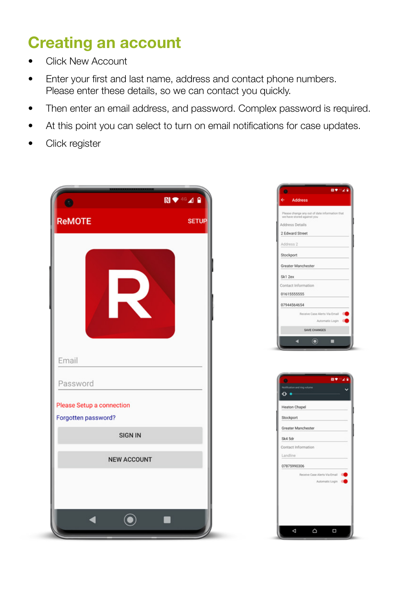## **Creating an account**

- Click New Account
- Enter your first and last name, address and contact phone numbers. Please enter these details, so we can contact you quickly.
- Then enter an email address, and password. Complex password is required.
- At this point you can select to turn on email notifications for case updates.
- Click register



|                 | 間●◎⊿                                                                         |
|-----------------|------------------------------------------------------------------------------|
|                 | <b>Address</b>                                                               |
|                 | Please change any out of date information that<br>we have stored against you |
| Address Details |                                                                              |
|                 | 2 Edward Street                                                              |
| Address 2       |                                                                              |
| Stockport       |                                                                              |
|                 | Greater Manchester                                                           |
| Sk1 2ex         |                                                                              |
|                 | Contact Information                                                          |
| 01615555555     |                                                                              |
| 07944564654     |                                                                              |
|                 | Receive Case Alerts Via Email                                                |
|                 | Automatic Login                                                              |
|                 | SAVE CHANGES                                                                 |
|                 |                                                                              |
|                 |                                                                              |